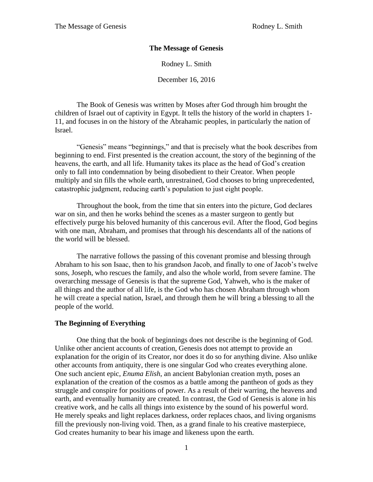## **The Message of Genesis**

Rodney L. Smith

December 16, 2016

The Book of Genesis was written by Moses after God through him brought the children of Israel out of captivity in Egypt. It tells the history of the world in chapters 1- 11, and focuses in on the history of the Abrahamic peoples, in particularly the nation of Israel.

"Genesis" means "beginnings," and that is precisely what the book describes from beginning to end. First presented is the creation account, the story of the beginning of the heavens, the earth, and all life. Humanity takes its place as the head of God's creation only to fall into condemnation by being disobedient to their Creator. When people multiply and sin fills the whole earth, unrestrained, God chooses to bring unprecedented, catastrophic judgment, reducing earth's population to just eight people.

Throughout the book, from the time that sin enters into the picture, God declares war on sin, and then he works behind the scenes as a master surgeon to gently but effectively purge his beloved humanity of this cancerous evil. After the flood, God begins with one man, Abraham, and promises that through his descendants all of the nations of the world will be blessed.

The narrative follows the passing of this covenant promise and blessing through Abraham to his son Isaac, then to his grandson Jacob, and finally to one of Jacob's twelve sons, Joseph, who rescues the family, and also the whole world, from severe famine. The overarching message of Genesis is that the supreme God, Yahweh, who is the maker of all things and the author of all life, is the God who has chosen Abraham through whom he will create a special nation, Israel, and through them he will bring a blessing to all the people of the world.

## **The Beginning of Everything**

One thing that the book of beginnings does not describe is the beginning of God. Unlike other ancient accounts of creation, Genesis does not attempt to provide an explanation for the origin of its Creator, nor does it do so for anything divine. Also unlike other accounts from antiquity, there is one singular God who creates everything alone. One such ancient epic, *Enuma Elish*, an ancient Babylonian creation myth, poses an explanation of the creation of the cosmos as a battle among the pantheon of gods as they struggle and conspire for positions of power. As a result of their warring, the heavens and earth, and eventually humanity are created. In contrast, the God of Genesis is alone in his creative work, and he calls all things into existence by the sound of his powerful word. He merely speaks and light replaces darkness, order replaces chaos, and living organisms fill the previously non-living void. Then, as a grand finale to his creative masterpiece, God creates humanity to bear his image and likeness upon the earth.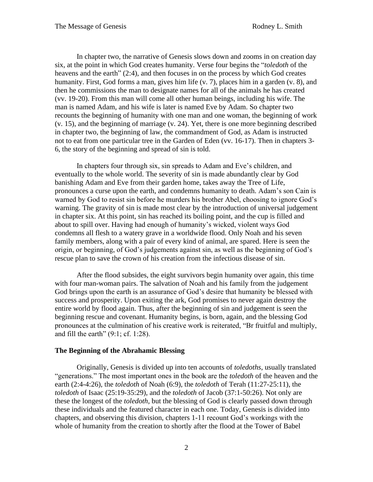In chapter two, the narrative of Genesis slows down and zooms in on creation day six, at the point in which God creates humanity. Verse four begins the "*toledoth* of the heavens and the earth" (2:4), and then focuses in on the process by which God creates humanity. First, God forms a man, gives him life (v. 7), places him in a garden (v. 8), and then he commissions the man to designate names for all of the animals he has created (vv. 19-20). From this man will come all other human beings, including his wife. The man is named Adam, and his wife is later is named Eve by Adam. So chapter two recounts the beginning of humanity with one man and one woman, the beginning of work (v. 15), and the beginning of marriage (v. 24). Yet, there is one more beginning described in chapter two, the beginning of law, the commandment of God, as Adam is instructed not to eat from one particular tree in the Garden of Eden (vv. 16-17). Then in chapters 3- 6, the story of the beginning and spread of sin is told.

In chapters four through six, sin spreads to Adam and Eve's children, and eventually to the whole world. The severity of sin is made abundantly clear by God banishing Adam and Eve from their garden home, takes away the Tree of Life, pronounces a curse upon the earth, and condemns humanity to death. Adam's son Cain is warned by God to resist sin before he murders his brother Abel, choosing to ignore God's warning. The gravity of sin is made most clear by the introduction of universal judgement in chapter six. At this point, sin has reached its boiling point, and the cup is filled and about to spill over. Having had enough of humanity's wicked, violent ways God condemns all flesh to a watery grave in a worldwide flood. Only Noah and his seven family members, along with a pair of every kind of animal, are spared. Here is seen the origin, or beginning, of God's judgements against sin, as well as the beginning of God's rescue plan to save the crown of his creation from the infectious disease of sin.

After the flood subsides, the eight survivors begin humanity over again, this time with four man-woman pairs. The salvation of Noah and his family from the judgement God brings upon the earth is an assurance of God's desire that humanity be blessed with success and prosperity. Upon exiting the ark, God promises to never again destroy the entire world by flood again. Thus, after the beginning of sin and judgement is seen the beginning rescue and covenant. Humanity begins, is born, again, and the blessing God pronounces at the culmination of his creative work is reiterated, "Br fruitful and multiply, and fill the earth" (9:1; cf. 1:28).

## **The Beginning of the Abrahamic Blessing**

Originally, Genesis is divided up into ten accounts of *toledoths*, usually translated "generations." The most important ones in the book are the *toledoth* of the heaven and the earth (2:4-4:26), the *toledoth* of Noah (6:9), the *toledoth* of Terah (11:27-25:11), the *toledoth* of Isaac (25:19-35:29), and the *toledoth* of Jacob (37:1-50:26). Not only are these the longest of the *toledoth*, but the blessing of God is clearly passed down through these individuals and the featured character in each one. Today, Genesis is divided into chapters, and observing this division, chapters 1-11 recount God's workings with the whole of humanity from the creation to shortly after the flood at the Tower of Babel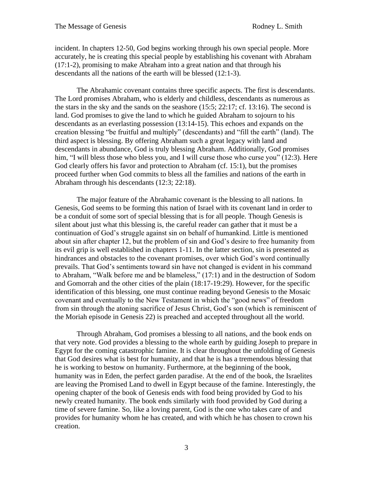incident. In chapters 12-50, God begins working through his own special people. More accurately, he is creating this special people by establishing his covenant with Abraham (17:1-2), promising to make Abraham into a great nation and that through his descendants all the nations of the earth will be blessed (12:1-3).

The Abrahamic covenant contains three specific aspects. The first is descendants. The Lord promises Abraham, who is elderly and childless, descendants as numerous as the stars in the sky and the sands on the seashore (15:5; 22:17; cf. 13:16). The second is land. God promises to give the land to which he guided Abraham to sojourn to his descendants as an everlasting possession (13:14-15). This echoes and expands on the creation blessing "be fruitful and multiply" (descendants) and "fill the earth" (land). The third aspect is blessing. By offering Abraham such a great legacy with land and descendants in abundance, God is truly blessing Abraham. Additionally, God promises him, "I will bless those who bless you, and I will curse those who curse you" (12:3). Here God clearly offers his favor and protection to Abraham (cf. 15:1), but the promises proceed further when God commits to bless all the families and nations of the earth in Abraham through his descendants (12:3; 22:18).

The major feature of the Abrahamic covenant is the blessing to all nations. In Genesis, God seems to be forming this nation of Israel with its covenant land in order to be a conduit of some sort of special blessing that is for all people. Though Genesis is silent about just what this blessing is, the careful reader can gather that it must be a continuation of God's struggle against sin on behalf of humankind. Little is mentioned about sin after chapter 12, but the problem of sin and God's desire to free humanity from its evil grip is well established in chapters 1-11. In the latter section, sin is presented as hindrances and obstacles to the covenant promises, over which God's word continually prevails. That God's sentiments toward sin have not changed is evident in his command to Abraham, "Walk before me and be blameless," (17:1) and in the destruction of Sodom and Gomorrah and the other cities of the plain (18:17-19:29). However, for the specific identification of this blessing, one must continue reading beyond Genesis to the Mosaic covenant and eventually to the New Testament in which the "good news" of freedom from sin through the atoning sacrifice of Jesus Christ, God's son (which is reminiscent of the Moriah episode in Genesis 22) is preached and accepted throughout all the world.

Through Abraham, God promises a blessing to all nations, and the book ends on that very note. God provides a blessing to the whole earth by guiding Joseph to prepare in Egypt for the coming catastrophic famine. It is clear throughout the unfolding of Genesis that God desires what is best for humanity, and that he is has a tremendous blessing that he is working to bestow on humanity. Furthermore, at the beginning of the book, humanity was in Eden, the perfect garden paradise. At the end of the book, the Israelites are leaving the Promised Land to dwell in Egypt because of the famine. Interestingly, the opening chapter of the book of Genesis ends with food being provided by God to his newly created humanity. The book ends similarly with food provided by God during a time of severe famine. So, like a loving parent, God is the one who takes care of and provides for humanity whom he has created, and with which he has chosen to crown his creation.